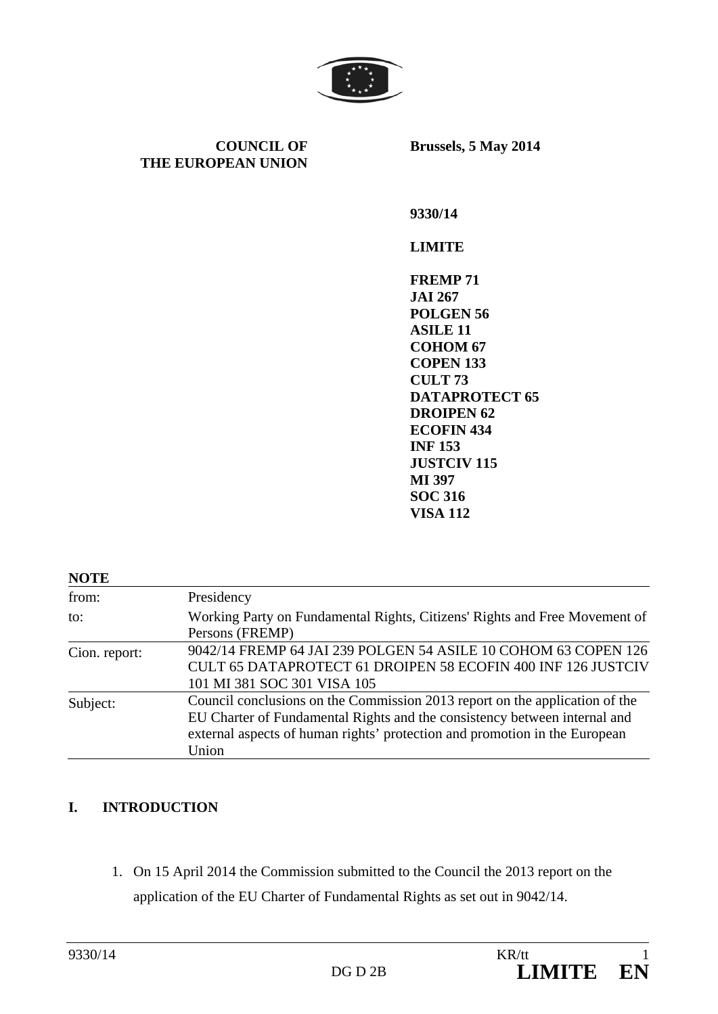

**COUNCIL OF THE EUROPEAN UNION** **Brussels, 5 May 2014** 

**9330/14** 

#### **LIMITE**

**FREMP 71 JAI 267 POLGEN 56 ASILE 11 COHOM 67 COPEN 133 CULT 73 DATAPROTECT 65 DROIPEN 62 ECOFIN 434 INF 153 JUSTCIV 115 MI 397 SOC 316 VISA 112** 

#### **NOTE**

| from:         | Presidency                                                                  |
|---------------|-----------------------------------------------------------------------------|
| to:           | Working Party on Fundamental Rights, Citizens' Rights and Free Movement of  |
|               | Persons (FREMP)                                                             |
| Cion. report: | 9042/14 FREMP 64 JAI 239 POLGEN 54 ASILE 10 COHOM 63 COPEN 126              |
|               | CULT 65 DATAPROTECT 61 DROIPEN 58 ECOFIN 400 INF 126 JUSTCIV                |
|               | 101 MI 381 SOC 301 VISA 105                                                 |
| Subject:      | Council conclusions on the Commission 2013 report on the application of the |
|               | EU Charter of Fundamental Rights and the consistency between internal and   |
|               | external aspects of human rights' protection and promotion in the European  |
|               | Union                                                                       |

#### **I. INTRODUCTION**

1. On 15 April 2014 the Commission submitted to the Council the 2013 report on the application of the EU Charter of Fundamental Rights as set out in 9042/14.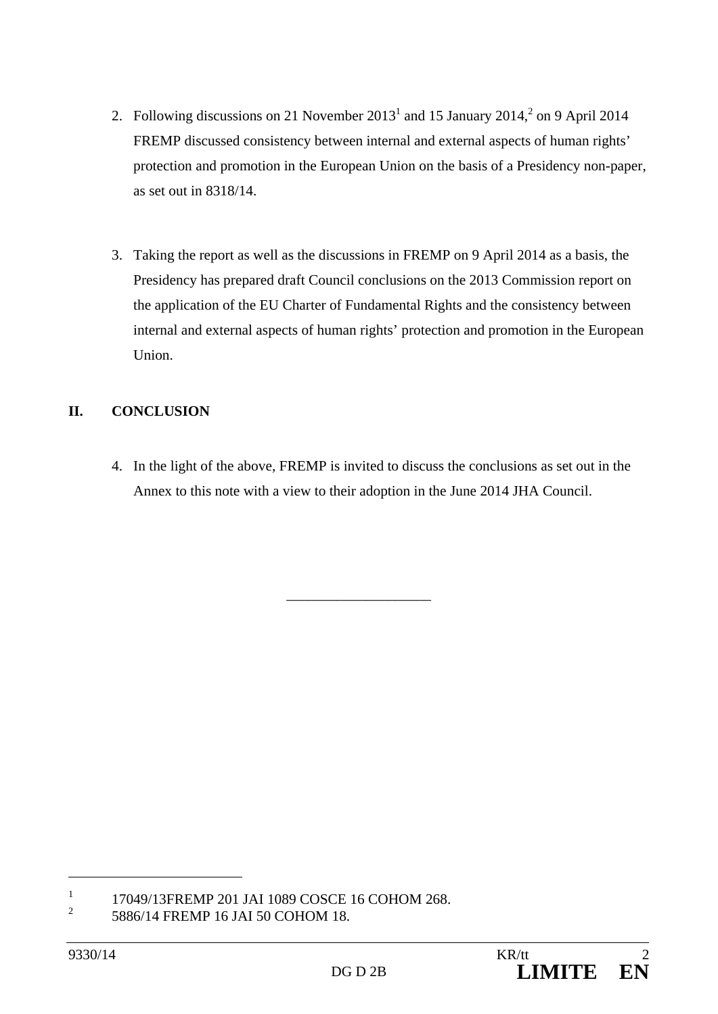- 2. Following discussions on 21 November  $2013<sup>1</sup>$  and 15 January  $2014<sup>2</sup>$  on 9 April 2014 FREMP discussed consistency between internal and external aspects of human rights' protection and promotion in the European Union on the basis of a Presidency non-paper, as set out in 8318/14.
- 3. Taking the report as well as the discussions in FREMP on 9 April 2014 as a basis, the Presidency has prepared draft Council conclusions on the 2013 Commission report on the application of the EU Charter of Fundamental Rights and the consistency between internal and external aspects of human rights' protection and promotion in the European Union.

### **II. CONCLUSION**

4. In the light of the above, FREMP is invited to discuss the conclusions as set out in the Annex to this note with a view to their adoption in the June 2014 JHA Council.

\_\_\_\_\_\_\_\_\_\_\_\_\_\_\_\_\_\_\_\_

<sup>1</sup> 17049/13FREMP 201 JAI 1089 COSCE 16 COHOM 268.

<sup>2</sup> 5886/14 FREMP 16 JAI 50 COHOM 18.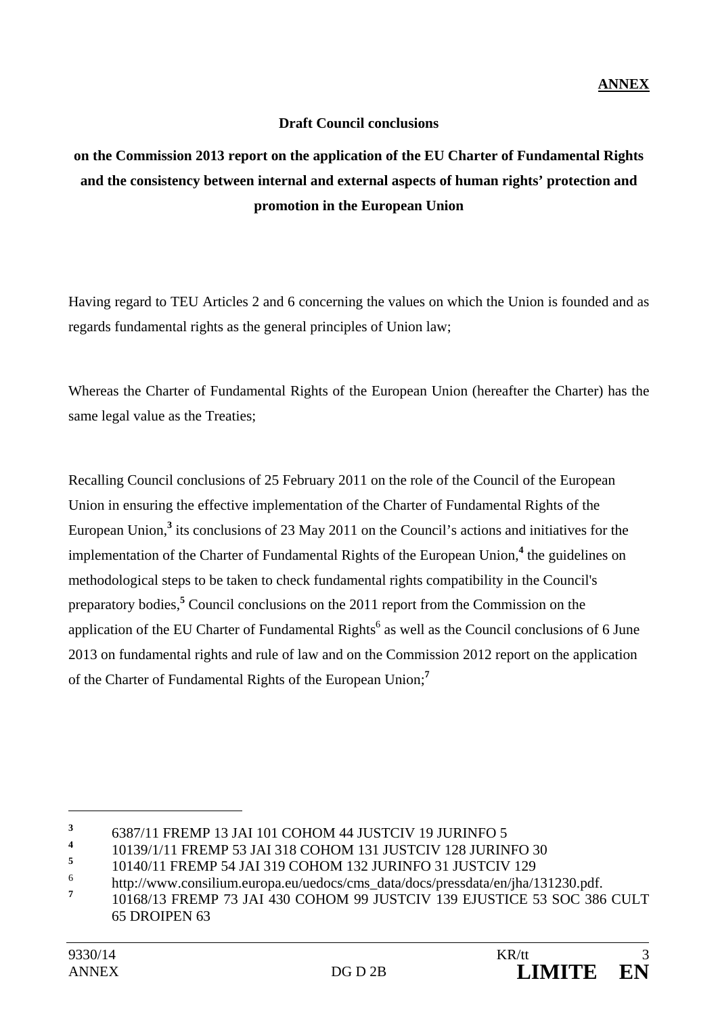#### **Draft Council conclusions**

# **on the Commission 2013 report on the application of the EU Charter of Fundamental Rights and the consistency between internal and external aspects of human rights' protection and promotion in the European Union**

Having regard to TEU Articles 2 and 6 concerning the values on which the Union is founded and as regards fundamental rights as the general principles of Union law;

Whereas the Charter of Fundamental Rights of the European Union (hereafter the Charter) has the same legal value as the Treaties;

Recalling Council conclusions of 25 February 2011 on the role of the Council of the European Union in ensuring the effective implementation of the Charter of Fundamental Rights of the European Union,<sup>3</sup> its conclusions of 23 May 2011 on the Council's actions and initiatives for the implementation of the Charter of Fundamental Rights of the European Union,<sup>4</sup> the guidelines on methodological steps to be taken to check fundamental rights compatibility in the Council's preparatory bodies,**<sup>5</sup>** Council conclusions on the 2011 report from the Commission on the application of the EU Charter of Fundamental Rights<sup>6</sup> as well as the Council conclusions of 6 June 2013 on fundamental rights and rule of law and on the Commission 2012 report on the application of the Charter of Fundamental Rights of the European Union;**<sup>7</sup>**

**<sup>3</sup>**  $\frac{3}{4}$  6387/11 FREMP 13 JAI 101 COHOM 44 JUSTCIV 19 JURINFO 5

**<sup>4</sup>** 10139/1/11 FREMP 53 JAI 318 COHOM 131 JUSTCIV 128 JURINFO 30

**<sup>5</sup>** 10140/11 FREMP 54 JAI 319 COHOM 132 JURINFO 31 JUSTCIV 129

<sup>6</sup> http://www.consilium.europa.eu/uedocs/cms\_data/docs/pressdata/en/jha/131230.pdf.

**<sup>7</sup>** 10168/13 FREMP 73 JAI 430 COHOM 99 JUSTCIV 139 EJUSTICE 53 SOC 386 CULT 65 DROIPEN 63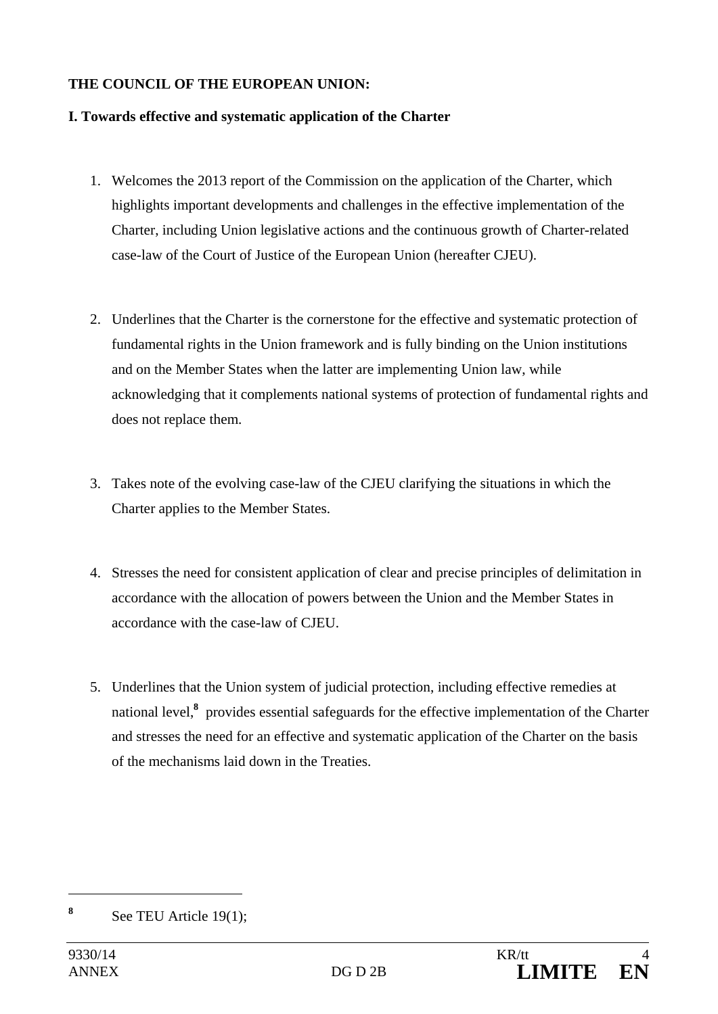#### **THE COUNCIL OF THE EUROPEAN UNION:**

#### **I. Towards effective and systematic application of the Charter**

- 1. Welcomes the 2013 report of the Commission on the application of the Charter, which highlights important developments and challenges in the effective implementation of the Charter, including Union legislative actions and the continuous growth of Charter-related case-law of the Court of Justice of the European Union (hereafter CJEU).
- 2. Underlines that the Charter is the cornerstone for the effective and systematic protection of fundamental rights in the Union framework and is fully binding on the Union institutions and on the Member States when the latter are implementing Union law, while acknowledging that it complements national systems of protection of fundamental rights and does not replace them.
- 3. Takes note of the evolving case-law of the CJEU clarifying the situations in which the Charter applies to the Member States.
- 4. Stresses the need for consistent application of clear and precise principles of delimitation in accordance with the allocation of powers between the Union and the Member States in accordance with the case-law of CJEU.
- 5. Underlines that the Union system of judicial protection, including effective remedies at national level,**<sup>8</sup>** provides essential safeguards for the effective implementation of the Charter and stresses the need for an effective and systematic application of the Charter on the basis of the mechanisms laid down in the Treaties.

**<sup>8</sup>** See TEU Article 19(1);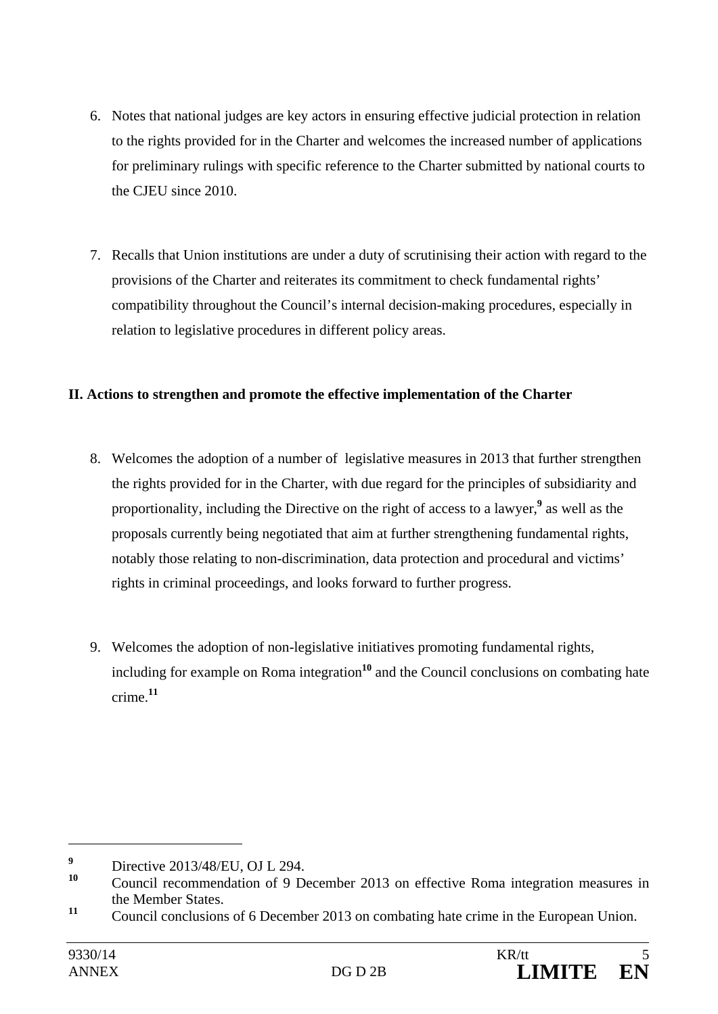- 6. Notes that national judges are key actors in ensuring effective judicial protection in relation to the rights provided for in the Charter and welcomes the increased number of applications for preliminary rulings with specific reference to the Charter submitted by national courts to the CJEU since 2010.
- 7. Recalls that Union institutions are under a duty of scrutinising their action with regard to the provisions of the Charter and reiterates its commitment to check fundamental rights' compatibility throughout the Council's internal decision-making procedures, especially in relation to legislative procedures in different policy areas.

#### **II. Actions to strengthen and promote the effective implementation of the Charter**

- 8. Welcomes the adoption of a number of legislative measures in 2013 that further strengthen the rights provided for in the Charter, with due regard for the principles of subsidiarity and proportionality, including the Directive on the right of access to a lawyer,<sup>9</sup> as well as the proposals currently being negotiated that aim at further strengthening fundamental rights, notably those relating to non-discrimination, data protection and procedural and victims' rights in criminal proceedings, and looks forward to further progress.
- 9. Welcomes the adoption of non-legislative initiatives promoting fundamental rights, including for example on Roma integration<sup>10</sup> and the Council conclusions on combating hate crime.**<sup>11</sup>**

**<sup>9</sup>**  $\frac{9}{20}$  Directive 2013/48/EU, OJ L 294.

Council recommendation of 9 December 2013 on effective Roma integration measures in the Member States.

<sup>&</sup>lt;sup>11</sup> Council conclusions of 6 December 2013 on combating hate crime in the European Union.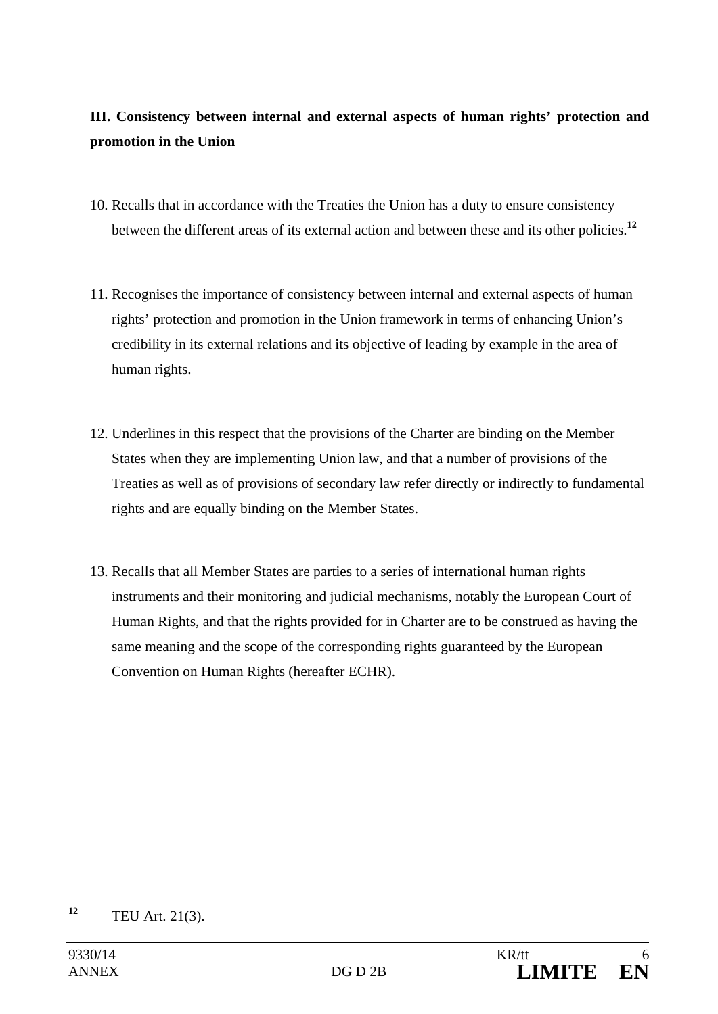### **III. Consistency between internal and external aspects of human rights' protection and promotion in the Union**

- 10. Recalls that in accordance with the Treaties the Union has a duty to ensure consistency between the different areas of its external action and between these and its other policies.**<sup>12</sup>**
- 11. Recognises the importance of consistency between internal and external aspects of human rights' protection and promotion in the Union framework in terms of enhancing Union's credibility in its external relations and its objective of leading by example in the area of human rights.
- 12. Underlines in this respect that the provisions of the Charter are binding on the Member States when they are implementing Union law, and that a number of provisions of the Treaties as well as of provisions of secondary law refer directly or indirectly to fundamental rights and are equally binding on the Member States.
- 13. Recalls that all Member States are parties to a series of international human rights instruments and their monitoring and judicial mechanisms, notably the European Court of Human Rights, and that the rights provided for in Charter are to be construed as having the same meaning and the scope of the corresponding rights guaranteed by the European Convention on Human Rights (hereafter ECHR).

**<sup>12</sup>** TEU Art. 21(3).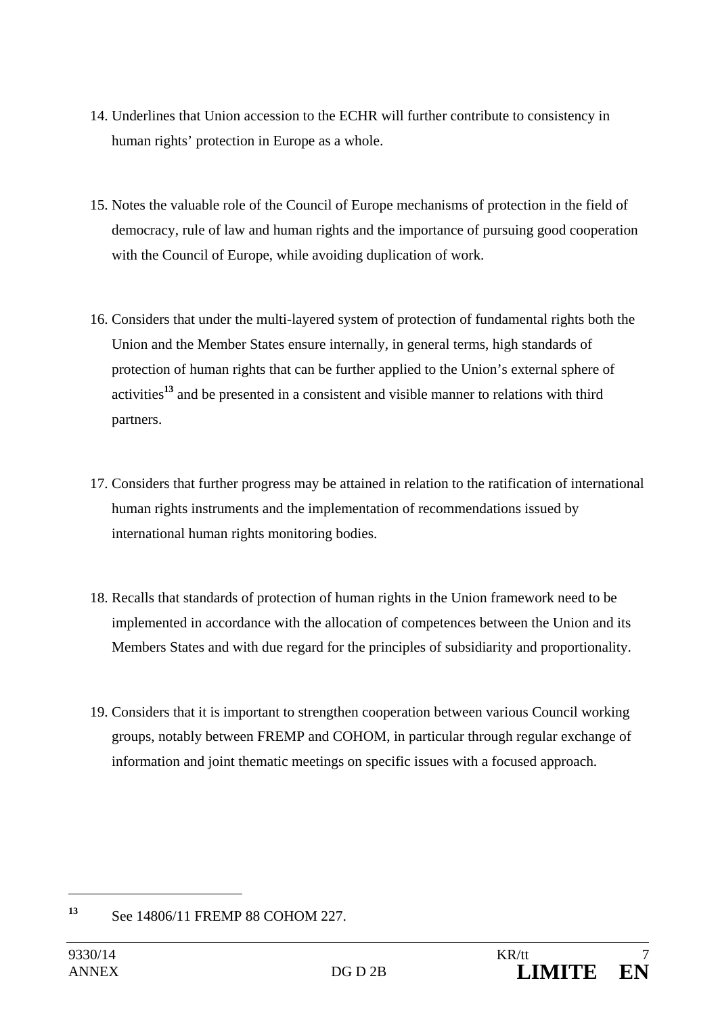- 14. Underlines that Union accession to the ECHR will further contribute to consistency in human rights' protection in Europe as a whole.
- 15. Notes the valuable role of the Council of Europe mechanisms of protection in the field of democracy, rule of law and human rights and the importance of pursuing good cooperation with the Council of Europe, while avoiding duplication of work.
- 16. Considers that under the multi-layered system of protection of fundamental rights both the Union and the Member States ensure internally, in general terms, high standards of protection of human rights that can be further applied to the Union's external sphere of activities**<sup>13</sup>** and be presented in a consistent and visible manner to relations with third partners.
- 17. Considers that further progress may be attained in relation to the ratification of international human rights instruments and the implementation of recommendations issued by international human rights monitoring bodies.
- 18. Recalls that standards of protection of human rights in the Union framework need to be implemented in accordance with the allocation of competences between the Union and its Members States and with due regard for the principles of subsidiarity and proportionality.
- 19. Considers that it is important to strengthen cooperation between various Council working groups, notably between FREMP and COHOM, in particular through regular exchange of information and joint thematic meetings on specific issues with a focused approach.

**<sup>13</sup>** See 14806/11 FREMP 88 COHOM 227.